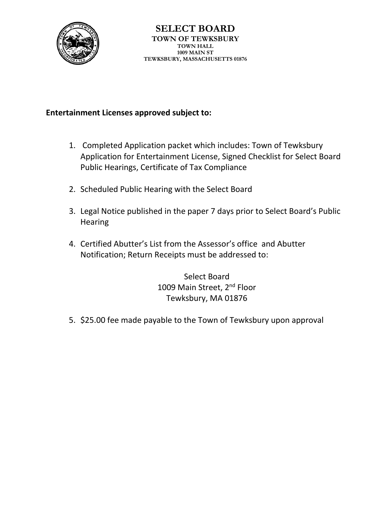

# **Entertainment Licenses approved subject to:**

- 1. Completed Application packet which includes: Town of Tewksbury Application for Entertainment License, Signed Checklist for Select Board Public Hearings, Certificate of Tax Compliance
- 2. Scheduled Public Hearing with the Select Board
- 3. Legal Notice published in the paper 7 days prior to Select Board's Public **Hearing**
- 4. Certified Abutter's List from the Assessor's office and Abutter Notification; Return Receipts must be addressed to:

Select Board 1009 Main Street, 2<sup>nd</sup> Floor Tewksbury, MA 01876

5. \$25.00 fee made payable to the Town of Tewksbury upon approval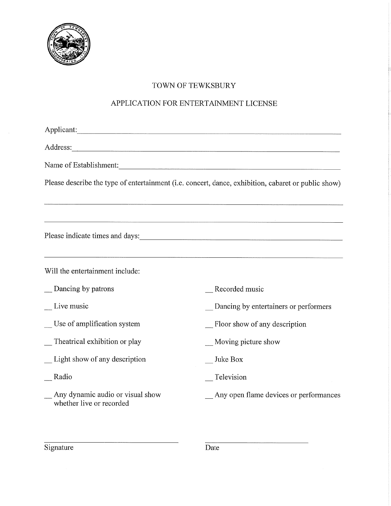

# TOWN OF TEWKSBURY

### APPLICATION FOR ENTERTAINMENT LICENSE

| Applicant:                                                                                          |                                                                                  |  |  |
|-----------------------------------------------------------------------------------------------------|----------------------------------------------------------------------------------|--|--|
|                                                                                                     |                                                                                  |  |  |
| Name of Establishment:                                                                              |                                                                                  |  |  |
| Please describe the type of entertainment (i.e. concert, dance, exhibition, cabaret or public show) |                                                                                  |  |  |
|                                                                                                     |                                                                                  |  |  |
|                                                                                                     | ,我们就是一个人的,我们就是我们的,我们就是我们的,我们就是我们的,我们就是我们的。""我们,我们就是我们的。""我们,我们就是我们的。""我们,我们就是我们的 |  |  |
|                                                                                                     |                                                                                  |  |  |
|                                                                                                     |                                                                                  |  |  |
| Will the entertainment include:                                                                     |                                                                                  |  |  |
| Dancing by patrons                                                                                  | Recorded music                                                                   |  |  |
| Live music                                                                                          | Dancing by entertainers or performers                                            |  |  |
| Use of amplification system                                                                         | Floor show of any description                                                    |  |  |
| Theatrical exhibition or play                                                                       | Moving picture show                                                              |  |  |
| Light show of any description                                                                       | Juke Box                                                                         |  |  |
| Radio                                                                                               | Television                                                                       |  |  |
| Any dynamic audio or visual show<br>whether live or recorded                                        | Any open flame devices or performances                                           |  |  |
|                                                                                                     |                                                                                  |  |  |

Signature

 $\overline{Date}$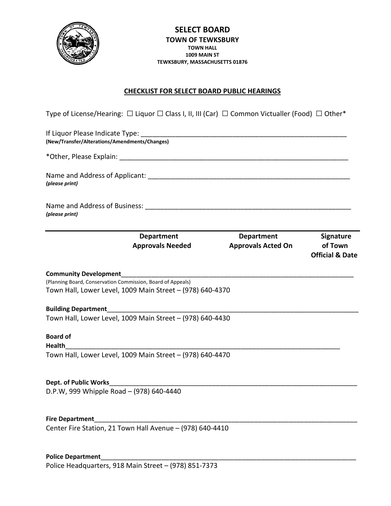

#### **CHECKLIST FOR SELECT BOARD PUBLIC HEARINGS**

Type of License/Hearing: □ Liquor □ Class I, II, III (Car) □ Common Victualler (Food) □ Other\*

| (New/Transfer/Alterations/Amendments/Changes)               |                                                           |                                         |                                                           |  |
|-------------------------------------------------------------|-----------------------------------------------------------|-----------------------------------------|-----------------------------------------------------------|--|
| (please print)                                              |                                                           |                                         |                                                           |  |
|                                                             |                                                           |                                         |                                                           |  |
|                                                             | <b>Department</b><br><b>Approvals Needed</b>              | Department<br><b>Approvals Acted On</b> | <b>Signature</b><br>of Town<br><b>Official &amp; Date</b> |  |
| <b>Community Development</b>                                |                                                           |                                         |                                                           |  |
| (Planning Board, Conservation Commission, Board of Appeals) | Town Hall, Lower Level, 1009 Main Street - (978) 640-4370 |                                         |                                                           |  |
| <b>Building Department</b>                                  |                                                           |                                         |                                                           |  |
|                                                             | Town Hall, Lower Level, 1009 Main Street - (978) 640-4430 |                                         |                                                           |  |
| <b>Board of</b><br><b>Health</b>                            |                                                           |                                         |                                                           |  |
|                                                             | Town Hall, Lower Level, 1009 Main Street - (978) 640-4470 |                                         |                                                           |  |
| <b>Dept. of Public Works</b>                                |                                                           |                                         |                                                           |  |
| D.P.W, 999 Whipple Road - (978) 640-4440                    |                                                           |                                         |                                                           |  |
| <b>Fire Department</b>                                      |                                                           |                                         |                                                           |  |
|                                                             | Center Fire Station, 21 Town Hall Avenue - (978) 640-4410 |                                         |                                                           |  |

Police Department Police Headquarters, 918 Main Street – (978) 851-7373